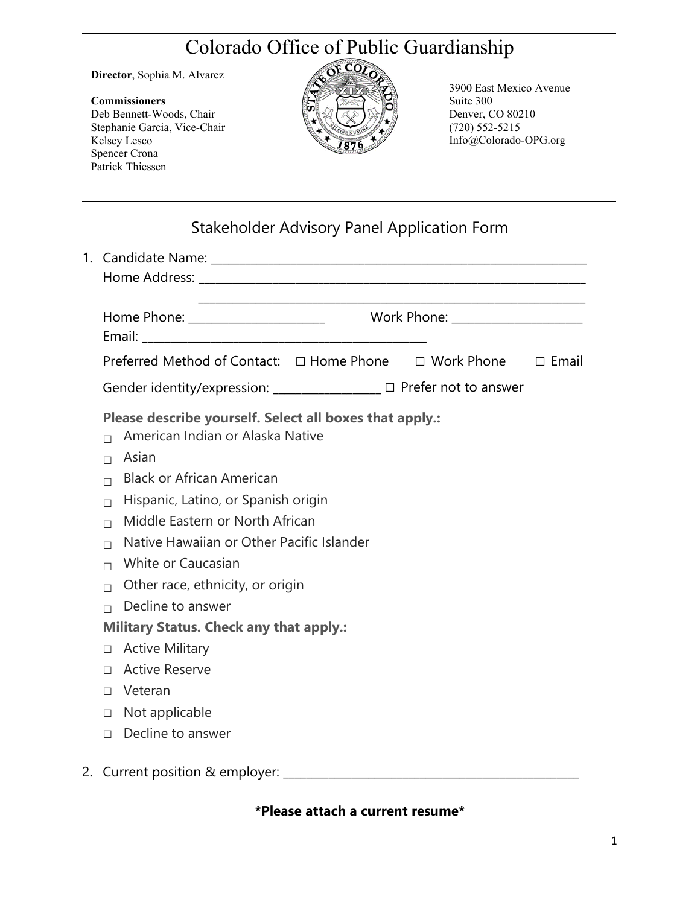## Colorado Office of Public Guardianship

**Director**, Sophia M. Alvarez

## **Commissioners**

Deb Bennett-Woods, Chair Stephanie Garcia, Vice-Chair Kelsey Lesco Spencer Crona Patrick Thiessen



3900 East Mexico Avenue Suite 300 Denver, CO 80210 (720) 552-5215 Info@Colorado-OPG.org

| Stakeholder Advisory Panel Application Form |  |  |
|---------------------------------------------|--|--|
|                                             |  |  |

|                                                                                   | Preferred Method of Contact: □ Home Phone □ Work Phone □ Email                                                                                                                                                                                                                                                                                 |  |  |  |  |  |
|-----------------------------------------------------------------------------------|------------------------------------------------------------------------------------------------------------------------------------------------------------------------------------------------------------------------------------------------------------------------------------------------------------------------------------------------|--|--|--|--|--|
|                                                                                   | Gender identity/expression: _______________ □ Prefer not to answer                                                                                                                                                                                                                                                                             |  |  |  |  |  |
| П<br>$\Box$<br>$\Box$<br>$\Box$<br>$\Box$<br>$\Box$<br>$\Box$<br>$\Box$<br>$\Box$ | Please describe yourself. Select all boxes that apply.:<br>American Indian or Alaska Native<br>Asian<br><b>Black or African American</b><br>Hispanic, Latino, or Spanish origin<br>Middle Eastern or North African<br>Native Hawaiian or Other Pacific Islander<br>White or Caucasian<br>Other race, ethnicity, or origin<br>Decline to answer |  |  |  |  |  |
|                                                                                   | <b>Military Status. Check any that apply.:</b>                                                                                                                                                                                                                                                                                                 |  |  |  |  |  |
| П.                                                                                | <b>Active Military</b>                                                                                                                                                                                                                                                                                                                         |  |  |  |  |  |
| $\Box$                                                                            | <b>Active Reserve</b>                                                                                                                                                                                                                                                                                                                          |  |  |  |  |  |
| $\Box$                                                                            | Veteran                                                                                                                                                                                                                                                                                                                                        |  |  |  |  |  |
| $\Box$                                                                            | Not applicable                                                                                                                                                                                                                                                                                                                                 |  |  |  |  |  |
| $\Box$                                                                            | Decline to answer                                                                                                                                                                                                                                                                                                                              |  |  |  |  |  |
| 2. Current position & employer:                                                   |                                                                                                                                                                                                                                                                                                                                                |  |  |  |  |  |

**\*Please attach a current resume\***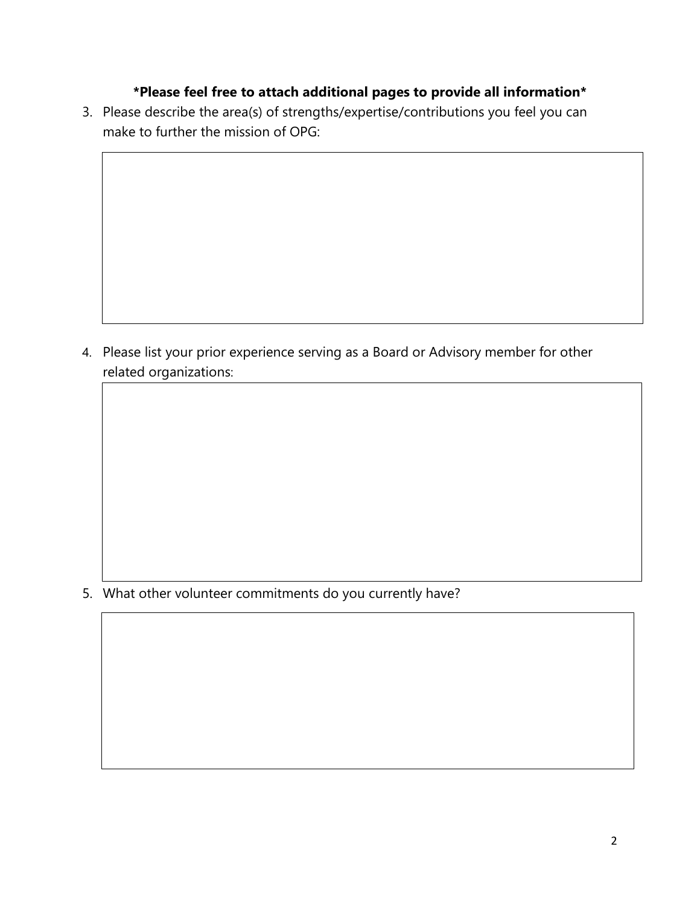## **\*Please feel free to attach additional pages to provide all information\***

3. Please describe the area(s) of strengths/expertise/contributions you feel you can make to further the mission of OPG:

4. Please list your prior experience serving as a Board or Advisory member for other related organizations:

5. What other volunteer commitments do you currently have?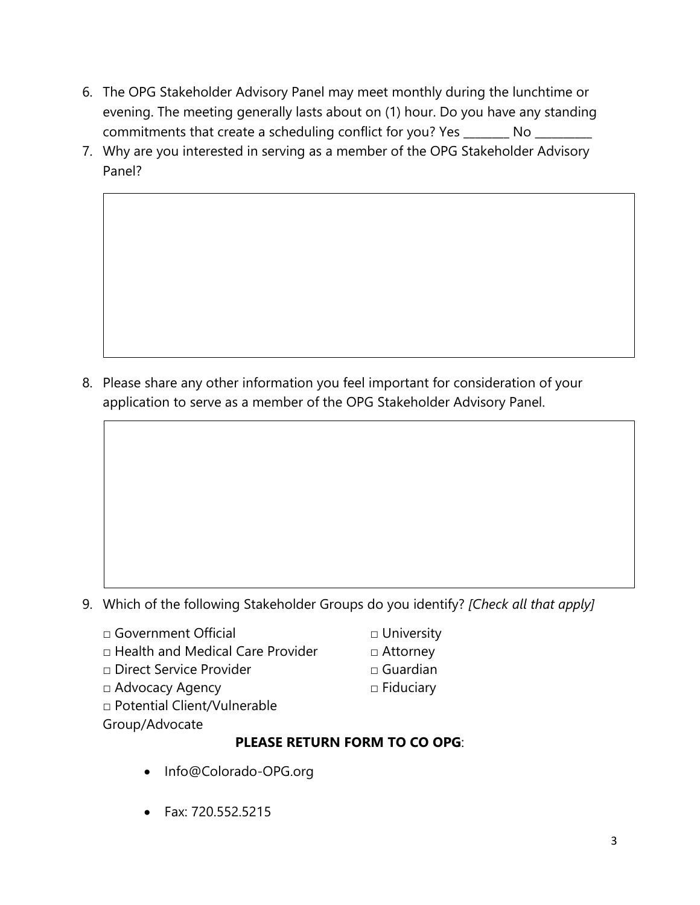- 6. The OPG Stakeholder Advisory Panel may meet monthly during the lunchtime or evening. The meeting generally lasts about on (1) hour. Do you have any standing commitments that create a scheduling conflict for you? Yes \_\_\_\_\_\_\_\_ No \_\_\_\_\_\_\_\_
- 7. Why are you interested in serving as a member of the OPG Stakeholder Advisory Panel?

8. Please share any other information you feel important for consideration of your application to serve as a member of the OPG Stakeholder Advisory Panel.

- 9. Which of the following Stakeholder Groups do you identify? *[Check all that apply]*
	- □ Government Official
	- $\Box$  Health and Medical Care Provider
	- □ Direct Service Provider
	- □ Advocacy Agency
	- □ Potential Client/Vulnerable
	- Group/Advocate

## **PLEASE RETURN FORM TO CO OPG**:

- Info@Colorado-OPG.org
- Fax: 720.552.5215
- □ University
- □ Attorney
- □ Guardian
- □ Fiduciary